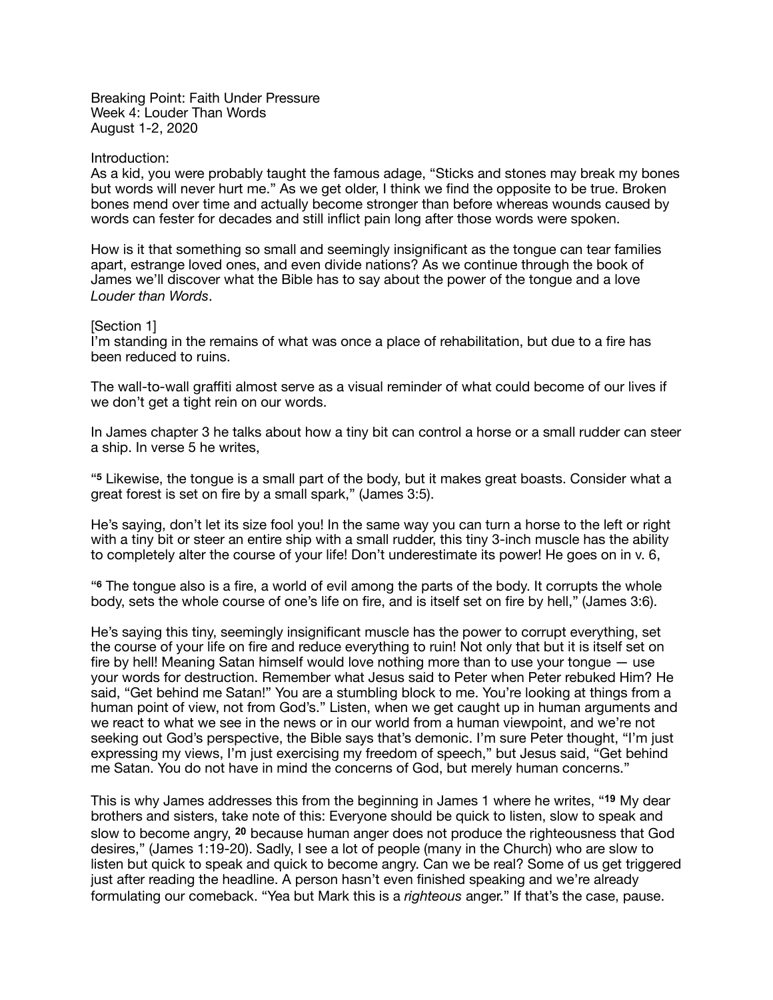Breaking Point: Faith Under Pressure Week 4: Louder Than Words August 1-2, 2020

#### Introduction:

As a kid, you were probably taught the famous adage, "Sticks and stones may break my bones but words will never hurt me." As we get older, I think we find the opposite to be true. Broken bones mend over time and actually become stronger than before whereas wounds caused by words can fester for decades and still inflict pain long after those words were spoken.

How is it that something so small and seemingly insignificant as the tongue can tear families apart, estrange loved ones, and even divide nations? As we continue through the book of James we'll discover what the Bible has to say about the power of the tongue and a love *Louder than Words*.

# [Section 1]

I'm standing in the remains of what was once a place of rehabilitation, but due to a fire has been reduced to ruins.

The wall-to-wall graffiti almost serve as a visual reminder of what could become of our lives if we don't get a tight rein on our words.

In James chapter 3 he talks about how a tiny bit can control a horse or a small rudder can steer a ship. In verse 5 he writes,

"**<sup>5</sup>** Likewise, the tongue is a small part of the body, but it makes great boasts. Consider what a great forest is set on fire by a small spark," (James 3:5).

He's saying, don't let its size fool you! In the same way you can turn a horse to the left or right with a tiny bit or steer an entire ship with a small rudder, this tiny 3-inch muscle has the ability to completely alter the course of your life! Don't underestimate its power! He goes on in v. 6,

"**<sup>6</sup>** The tongue also is a fire, a world of evil among the parts of the body. It corrupts the whole body, sets the whole course of one's life on fire, and is itself set on fire by hell," (James 3:6).

He's saying this tiny, seemingly insignificant muscle has the power to corrupt everything, set the course of your life on fire and reduce everything to ruin! Not only that but it is itself set on fire by hell! Meaning Satan himself would love nothing more than to use your tongue — use your words for destruction. Remember what Jesus said to Peter when Peter rebuked Him? He said, "Get behind me Satan!" You are a stumbling block to me. You're looking at things from a human point of view, not from God's." Listen, when we get caught up in human arguments and we react to what we see in the news or in our world from a human viewpoint, and we're not seeking out God's perspective, the Bible says that's demonic. I'm sure Peter thought, "I'm just expressing my views, I'm just exercising my freedom of speech," but Jesus said, "Get behind me Satan. You do not have in mind the concerns of God, but merely human concerns."

This is why James addresses this from the beginning in James 1 where he writes, "**19** My dear brothers and sisters, take note of this: Everyone should be quick to listen, slow to speak and slow to become angry, **20** because human anger does not produce the righteousness that God desires," (James 1:19-20). Sadly, I see a lot of people (many in the Church) who are slow to listen but quick to speak and quick to become angry. Can we be real? Some of us get triggered just after reading the headline. A person hasn't even finished speaking and we're already formulating our comeback. "Yea but Mark this is a *righteous* anger." If that's the case, pause.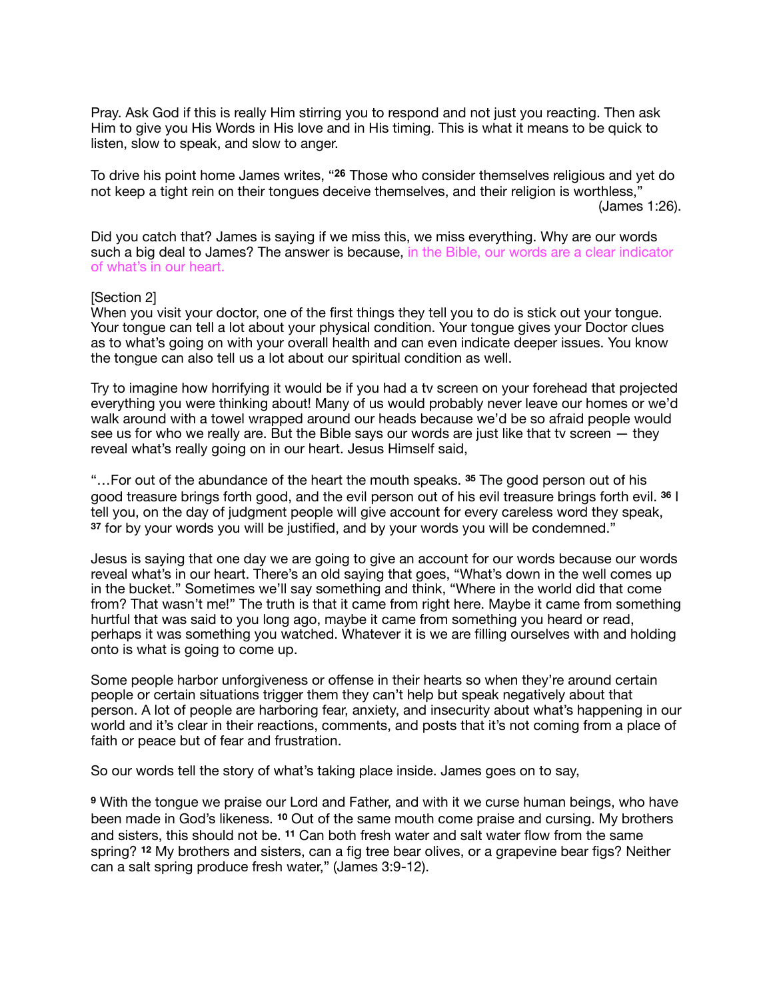Pray. Ask God if this is really Him stirring you to respond and not just you reacting. Then ask Him to give you His Words in His love and in His timing. This is what it means to be quick to listen, slow to speak, and slow to anger.

To drive his point home James writes, "**26** Those who consider themselves religious and yet do not keep a tight rein on their tongues deceive themselves, and their religion is worthless," (James 1:26).

Did you catch that? James is saying if we miss this, we miss everything. Why are our words such a big deal to James? The answer is because, in the Bible, our words are a clear indicator of what's in our heart.

### [Section 2]

When you visit your doctor, one of the first things they tell you to do is stick out your tongue. Your tongue can tell a lot about your physical condition. Your tongue gives your Doctor clues as to what's going on with your overall health and can even indicate deeper issues. You know the tongue can also tell us a lot about our spiritual condition as well.

Try to imagine how horrifying it would be if you had a tv screen on your forehead that projected everything you were thinking about! Many of us would probably never leave our homes or we'd walk around with a towel wrapped around our heads because we'd be so afraid people would see us for who we really are. But the Bible says our words are just like that tv screen  $-$  they reveal what's really going on in our heart. Jesus Himself said,

"…For out of the abundance of the heart the mouth speaks. **<sup>35</sup>** The good person out of his good treasure brings forth good, and the evil person out of his evil treasure brings forth evil. **<sup>36</sup>** I tell you, on the day of judgment people will give account for every careless word they speak, **<sup>37</sup>** for by your words you will be justified, and by your words you will be condemned."

Jesus is saying that one day we are going to give an account for our words because our words reveal what's in our heart. There's an old saying that goes, "What's down in the well comes up in the bucket." Sometimes we'll say something and think, "Where in the world did that come from? That wasn't me!" The truth is that it came from right here. Maybe it came from something hurtful that was said to you long ago, maybe it came from something you heard or read, perhaps it was something you watched. Whatever it is we are filling ourselves with and holding onto is what is going to come up.

Some people harbor unforgiveness or offense in their hearts so when they're around certain people or certain situations trigger them they can't help but speak negatively about that person. A lot of people are harboring fear, anxiety, and insecurity about what's happening in our world and it's clear in their reactions, comments, and posts that it's not coming from a place of faith or peace but of fear and frustration.

So our words tell the story of what's taking place inside. James goes on to say,

**<sup>9</sup>** With the tongue we praise our Lord and Father, and with it we curse human beings, who have been made in God's likeness. **<sup>10</sup>** Out of the same mouth come praise and cursing. My brothers and sisters, this should not be. **<sup>11</sup>** Can both fresh water and salt water flow from the same spring? **<sup>12</sup>** My brothers and sisters, can a fig tree bear olives, or a grapevine bear figs? Neither can a salt spring produce fresh water," (James 3:9-12).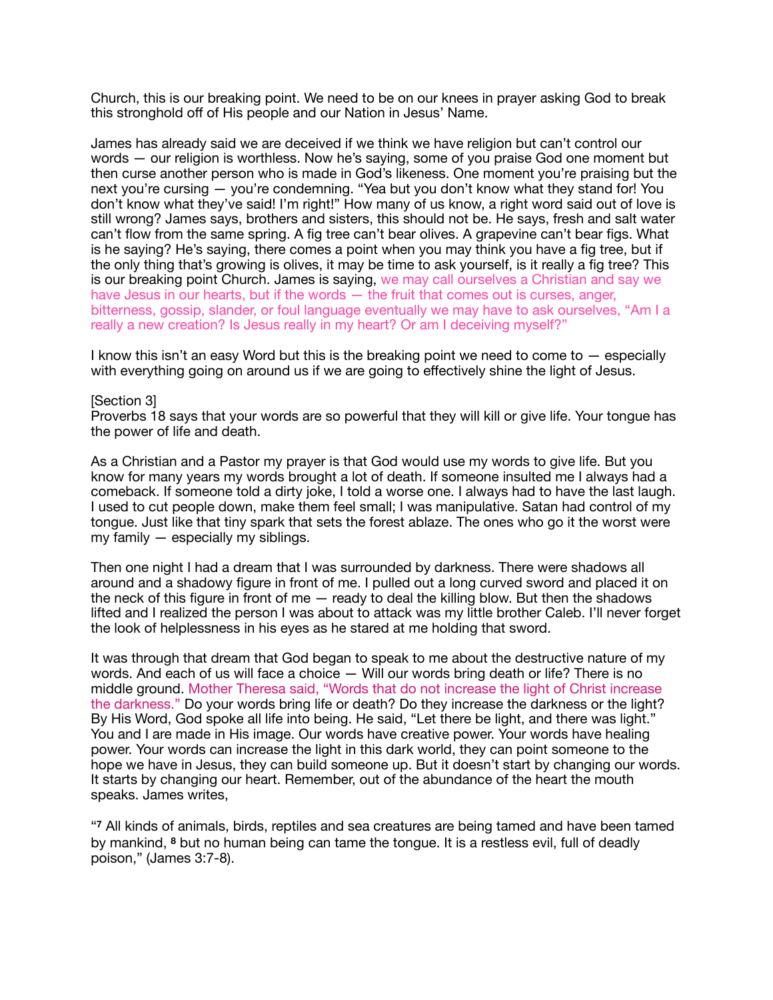Church, this is our breaking point. We need to be on our knees in prayer asking God to break this stronghold off of His people and our Nation in Jesus' Name.

James has already said we are deceived if we think we have religion but can't control our words — our religion is worthless. Now he's saying, some of you praise God one moment but then curse another person who is made in God's likeness. One moment you're praising but the next you're cursing — you're condemning. "Yea but you don't know what they stand for! You don't know what they've said! I'm right!" How many of us know, a right word said out of love is still wrong? James says, brothers and sisters, this should not be. He says, fresh and salt water can't flow from the same spring. A fig tree can't bear olives. A grapevine can't bear figs. What is he saying? He's saying, there comes a point when you may think you have a fig tree, but if the only thing that's growing is olives, it may be time to ask yourself, is it really a fig tree? This is our breaking point Church. James is saying, we may call ourselves a Christian and say we have Jesus in our hearts, but if the words — the fruit that comes out is curses, anger, bitterness, gossip, slander, or foul language eventually we may have to ask ourselves, "Am I a really a new creation? Is Jesus really in my heart? Or am I deceiving myself?"

I know this isn't an easy Word but this is the breaking point we need to come to — especially with everything going on around us if we are going to effectively shine the light of Jesus.

### [Section 3]

Proverbs 18 says that your words are so powerful that they will kill or give life. Your tongue has the power of life and death.

As a Christian and a Pastor my prayer is that God would use my words to give life. But you know for many years my words brought a lot of death. If someone insulted me I always had a comeback. If someone told a dirty joke, I told a worse one. I always had to have the last laugh. I used to cut people down, make them feel small; I was manipulative. Satan had control of my tongue. Just like that tiny spark that sets the forest ablaze. The ones who go it the worst were my family — especially my siblings.

Then one night I had a dream that I was surrounded by darkness. There were shadows all around and a shadowy figure in front of me. I pulled out a long curved sword and placed it on the neck of this figure in front of me  $-$  ready to deal the killing blow. But then the shadows lifted and I realized the person I was about to attack was my little brother Caleb. I'll never forget the look of helplessness in his eyes as he stared at me holding that sword.

It was through that dream that God began to speak to me about the destructive nature of my words. And each of us will face a choice — Will our words bring death or life? There is no middle ground. Mother Theresa said, "Words that do not increase the light of Christ increase the darkness." Do your words bring life or death? Do they increase the darkness or the light? By His Word, God spoke all life into being. He said, "Let there be light, and there was light." You and I are made in His image. Our words have creative power. Your words have healing power. Your words can increase the light in this dark world, they can point someone to the hope we have in Jesus, they can build someone up. But it doesn't start by changing our words. It starts by changing our heart. Remember, out of the abundance of the heart the mouth speaks. James writes,

"**<sup>7</sup>** All kinds of animals, birds, reptiles and sea creatures are being tamed and have been tamed by mankind, **<sup>8</sup>** but no human being can tame the tongue. It is a restless evil, full of deadly poison," (James 3:7-8).